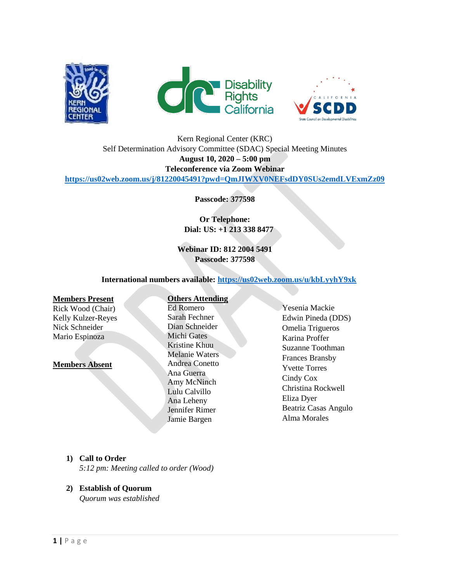





# Kern Regional Center (KRC) Self Determination Advisory Committee (SDAC) Special Meeting Minutes **August 10, 2020 – 5:00 pm Teleconference via Zoom Webinar <https://us02web.zoom.us/j/81220045491?pwd=QmJIWXV0NEFsdDY0SUs2emdLVExmZz09>**

**Passcode: 377598**

**Or Telephone: Dial: US: +1 213 338 8477** 

**Webinar ID: 812 2004 5491 Passcode: 377598**

 **International numbers available:<https://us02web.zoom.us/u/kbLyyhY9xk>**

### **Members Present**

Rick Wood (Chair) Kelly Kulzer-Reyes Nick Schneider Mario Espinoza

#### **Members Absent**

#### **Others Attending**

Ed Romero Sarah Fechner Dian Schneider Michi Gates Kristine Khuu Melanie Waters Andrea Conetto Ana Guerra Amy McNinch Lulu Calvillo Ana Leheny Jennifer Rimer Jamie Bargen

Yesenia Mackie Edwin Pineda (DDS) Omelia Trigueros Karina Proffer Suzanne Toothman Frances Bransby Yvette Torres Cindy Cox Christina Rockwell Eliza Dyer Beatriz Casas Angulo Alma Morales

# **1) Call to Order**

*5:12 pm: Meeting called to order (Wood)*

# **2) Establish of Quorum**

*Quorum was established*